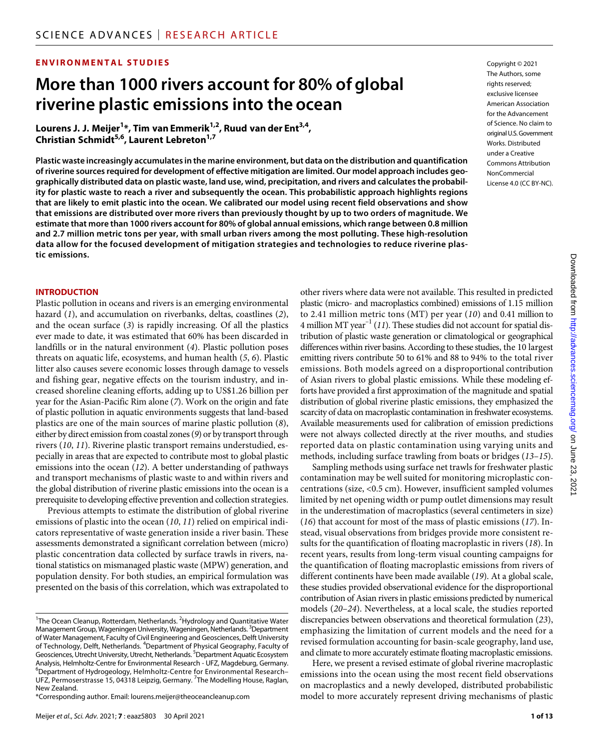# **ENVIRONMENTAL STUDIES**

# **More than 1000 rivers account for 80% of global riverine plastic emissions into the ocean**

**Lourens J. J. Meijer1 \*, Tim van Emmerik1,2, Ruud van der Ent3,4, Christian Schmidt5,6, Laurent Lebreton1,7**

**Plastic waste increasingly accumulates in the marine environment, but data on the distribution and quantification of riverine sources required for development of effective mitigation are limited. Our model approach includes geographically distributed data on plastic waste, land use, wind, precipitation, and rivers and calculates the probability for plastic waste to reach a river and subsequently the ocean. This probabilistic approach highlights regions that are likely to emit plastic into the ocean. We calibrated our model using recent field observations and show that emissions are distributed over more rivers than previously thought by up to two orders of magnitude. We estimate that more than 1000 rivers account for 80% of global annual emissions, which range between 0.8 million and 2.7 million metric tons per year, with small urban rivers among the most polluting. These high-resolution data allow for the focused development of mitigation strategies and technologies to reduce riverine plastic emissions.**

#### **INTRODUCTION**

Plastic pollution in oceans and rivers is an emerging environmental hazard (*1*), and accumulation on riverbanks, deltas, coastlines (*2*), and the ocean surface (*3*) is rapidly increasing. Of all the plastics ever made to date, it was estimated that 60% has been discarded in landfills or in the natural environment (*4*). Plastic pollution poses threats on aquatic life, ecosystems, and human health (*5*, *6*). Plastic litter also causes severe economic losses through damage to vessels and fishing gear, negative effects on the tourism industry, and increased shoreline cleaning efforts, adding up to US\$1.26 billion per year for the Asian-Pacific Rim alone (*7*). Work on the origin and fate of plastic pollution in aquatic environments suggests that land-based plastics are one of the main sources of marine plastic pollution (*8*), either by direct emission from coastal zones (*9*) or by transport through rivers (*10*, *11*). Riverine plastic transport remains understudied, especially in areas that are expected to contribute most to global plastic emissions into the ocean (*12*). A better understanding of pathways and transport mechanisms of plastic waste to and within rivers and the global distribution of riverine plastic emissions into the ocean is a prerequisite to developing effective prevention and collection strategies.

Previous attempts to estimate the distribution of global riverine emissions of plastic into the ocean (*10*, *11*) relied on empirical indicators representative of waste generation inside a river basin. These assessments demonstrated a significant correlation between (micro) plastic concentration data collected by surface trawls in rivers, national statistics on mismanaged plastic waste (MPW) generation, and population density. For both studies, an empirical formulation was presented on the basis of this correlation, which was extrapolated to

Copyright © 2021 The Authors, some rights reserved: exclusive licensee American Association for the Advancement of Science. No claim to original U.S.Government Works. Distributed under a Creative Commons Attribution **NonCommercial** License 4.0 (CC BY-NC).

other rivers where data were not available. This resulted in predicted plastic (micro- and macroplastics combined) emissions of 1.15 million to 2.41 million metric tons (MT) per year (*10*) and 0.41 million to 4 million MT year<sup>-1</sup> (11). These studies did not account for spatial distribution of plastic waste generation or climatological or geographical differences within river basins. According to these studies, the 10 largest emitting rivers contribute 50 to 61% and 88 to 94% to the total river emissions. Both models agreed on a disproportional contribution of Asian rivers to global plastic emissions. While these modeling efforts have provided a first approximation of the magnitude and spatial distribution of global riverine plastic emissions, they emphasized the scarcity of data on macroplastic contamination in freshwater ecosystems. Available measurements used for calibration of emission predictions were not always collected directly at the river mouths, and studies reported data on plastic contamination using varying units and methods, including surface trawling from boats or bridges (*13*–*15*).

Sampling methods using surface net trawls for freshwater plastic contamination may be well suited for monitoring microplastic concentrations (size, <0.5 cm). However, insufficient sampled volumes limited by net opening width or pump outlet dimensions may result in the underestimation of macroplastics (several centimeters in size) (*16*) that account for most of the mass of plastic emissions (*17*). Instead, visual observations from bridges provide more consistent results for the quantification of floating macroplastic in rivers (*18*). In recent years, results from long-term visual counting campaigns for the quantification of floating macroplastic emissions from rivers of different continents have been made available (*19*). At a global scale, these studies provided observational evidence for the disproportional contribution of Asian rivers in plastic emissions predicted by numerical models (*20*–*24*). Nevertheless, at a local scale, the studies reported discrepancies between observations and theoretical formulation (*23*), emphasizing the limitation of current models and the need for a revised formulation accounting for basin-scale geography, land use, and climate to more accurately estimate floating macroplastic emissions.

Here, we present a revised estimate of global riverine macroplastic emissions into the ocean using the most recent field observations on macroplastics and a newly developed, distributed probabilistic model to more accurately represent driving mechanisms of plastic

<sup>&</sup>lt;sup>1</sup>The Ocean Cleanup, Rotterdam, Netherlands. <sup>2</sup>Hydrology and Quantitative Water Management Group, Wageningen University, Wageningen, Netherlands. <sup>3</sup>Department of Water Management, Faculty of Civil Engineering and Geosciences, Delft University of Technology, Delft, Netherlands. <sup>4</sup>Department of Physical Geography, Faculty of Geosciences, Utrecht University, Utrecht, Netherlands. <sup>5</sup> Department Aquatic Ecosystem Analysis, Helmholtz-Centre for Environmental Research - UFZ, Magdeburg, Germany. 6 Department of Hydrogeology, Helmholtz-Centre for Environmental Research– UFZ, Permoserstrasse 15, 04318 Leipzig, Germany. <sup>7</sup>The Modelling House, Raglan, New Zealand.

<sup>\*</sup>Corresponding author. Email: [lourens.meijer@theoceancleanup.com](mailto:lourens.meijer@theoceancleanup.com)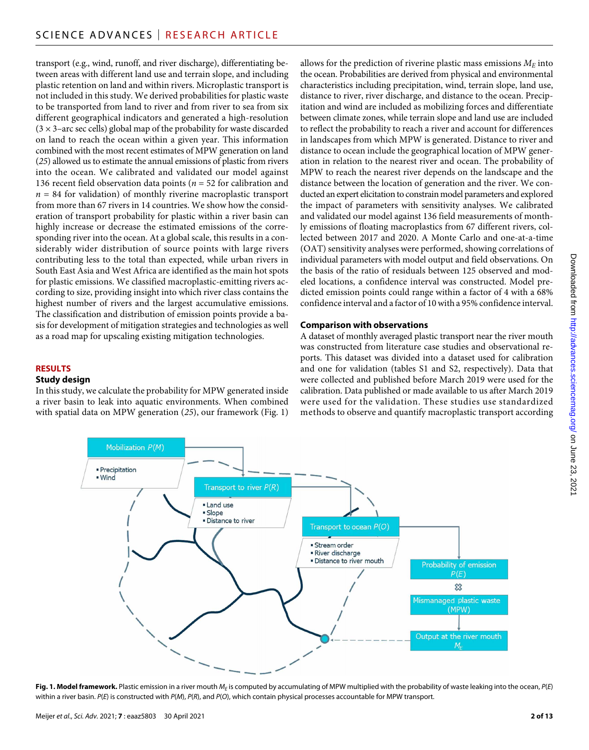transport (e.g., wind, runoff, and river discharge), differentiating between areas with different land use and terrain slope, and including plastic retention on land and within rivers. Microplastic transport is not included in this study. We derived probabilities for plastic waste to be transported from land to river and from river to sea from six different geographical indicators and generated a high-resolution  $(3 \times 3$ –arc sec cells) global map of the probability for waste discarded on land to reach the ocean within a given year. This information combined with the most recent estimates of MPW generation on land (*25*) allowed us to estimate the annual emissions of plastic from rivers into the ocean. We calibrated and validated our model against 136 recent field observation data points (*n* = 52 for calibration and  $n = 84$  for validation) of monthly riverine macroplastic transport from more than 67 rivers in 14 countries. We show how the consideration of transport probability for plastic within a river basin can highly increase or decrease the estimated emissions of the corresponding river into the ocean. At a global scale, this results in a considerably wider distribution of source points with large rivers contributing less to the total than expected, while urban rivers in South East Asia and West Africa are identified as the main hot spots for plastic emissions. We classified macroplastic-emitting rivers according to size, providing insight into which river class contains the highest number of rivers and the largest accumulative emissions. The classification and distribution of emission points provide a basis for development of mitigation strategies and technologies as well as a road map for upscaling existing mitigation technologies.

allows for the prediction of riverine plastic mass emissions  $M_E$  into the ocean. Probabilities are derived from physical and environmental characteristics including precipitation, wind, terrain slope, land use, distance to river, river discharge, and distance to the ocean. Precipitation and wind are included as mobilizing forces and differentiate between climate zones, while terrain slope and land use are included to reflect the probability to reach a river and account for differences in landscapes from which MPW is generated. Distance to river and distance to ocean include the geographical location of MPW generation in relation to the nearest river and ocean. The probability of MPW to reach the nearest river depends on the landscape and the distance between the location of generation and the river. We conducted an expert elicitation to constrain model parameters and explored the impact of parameters with sensitivity analyses. We calibrated and validated our model against 136 field measurements of monthly emissions of floating macroplastics from 67 different rivers, collected between 2017 and 2020. A Monte Carlo and one-at-a-time (OAT) sensitivity analyses were performed, showing correlations of individual parameters with model output and field observations. On the basis of the ratio of residuals between 125 observed and modeled locations, a confidence interval was constructed. Model predicted emission points could range within a factor of 4 with a 68% confidence interval and a factor of 10 with a 95% confidence interval.

# **Comparison with observations**

A dataset of monthly averaged plastic transport near the river mouth was constructed from literature case studies and observational reports. This dataset was divided into a dataset used for calibration and one for validation (tables S1 and S2, respectively). Data that were collected and published before March 2019 were used for the calibration. Data published or made available to us after March 2019 were used for the validation. These studies use standardized methods to observe and quantify macroplastic transport according

· Precipitation · Wind Transport to river  $P(R)$ · Land use · Slope · Distance to river Transport to ocean  $P(O)$ · Stream order **River discharge** · Distance to river mouth Probability of emission  $P(E)$ 惢 Mismanaged plastic waste (MPW) Output at the river mouth  $\overline{M}$ 

Fig. 1. Model framework. Plastic emission in a river mouth *M<sub>E</sub>* is computed by accumulating of MPW multiplied with the probability of waste leaking into the ocean, *P*(*E*) within a river basin. *P*(*E*) is constructed with *P*(*M*), *P*(*R*), and *P*(*O*), which contain physical processes accountable for MPW transport.

### **RESULTS**

#### **Study design**

In this study, we calculate the probability for MPW generated inside a river basin to leak into aquatic environments. When combined with spatial data on MPW generation (*25*), our framework (Fig. 1)

Mobilization P(M)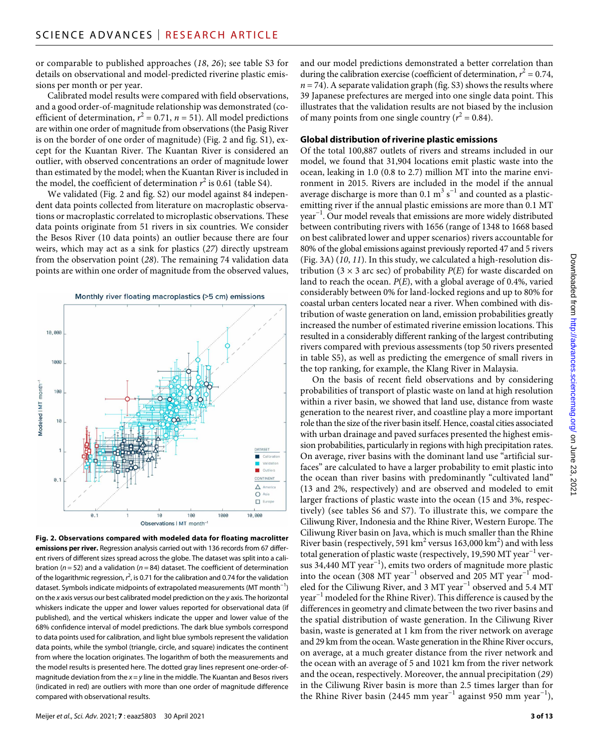or comparable to published approaches (*18*, *26*); see table S3 for details on observational and model-predicted riverine plastic emissions per month or per year.

Calibrated model results were compared with field observations, and a good order-of-magnitude relationship was demonstrated (coefficient of determination,  $r^2 = 0.71$ ,  $n = 51$ ). All model predictions are within one order of magnitude from observations (the Pasig River is on the border of one order of magnitude) (Fig. 2 and fig. S1), except for the Kuantan River. The Kuantan River is considered an outlier, with observed concentrations an order of magnitude lower than estimated by the model; when the Kuantan River is included in the model, the coefficient of determination  $r^2$  is 0.61 (table S4).

We validated (Fig. 2 and fig. S2) our model against 84 independent data points collected from literature on macroplastic observations or macroplastic correlated to microplastic observations. These data points originate from 51 rivers in six countries. We consider the Besos River (10 data points) an outlier because there are four weirs, which may act as a sink for plastics (*27*) directly upstream from the observation point (*28*). The remaining 74 validation data points are within one order of magnitude from the observed values,



**Fig. 2. Observations compared with modeled data for floating macrolitter emissions per river.** Regression analysis carried out with 136 records from 67 different rivers of different sizes spread across the globe. The dataset was split into a calibration (*n* = 52) and a validation (*n* = 84) dataset. The coefficient of determination of the logarithmic regression,  $r^2$ , is 0.71 for the calibration and 0.74 for the validation dataset. Symbols indicate midpoints of extrapolated measurements (MT month<sup>-1</sup>) on the *x* axis versus our best calibrated model prediction on the *y* axis. The horizontal whiskers indicate the upper and lower values reported for observational data (if published), and the vertical whiskers indicate the upper and lower value of the 68% confidence interval of model predictions. The dark blue symbols correspond to data points used for calibration, and light blue symbols represent the validation data points, while the symbol (triangle, circle, and square) indicates the continent from where the location originates. The logarithm of both the measurements and the model results is presented here. The dotted gray lines represent one-order-ofmagnitude deviation from the *x* = *y* line in the middle. The Kuantan and Besos rivers (indicated in red) are outliers with more than one order of magnitude difference compared with observational results.

and our model predictions demonstrated a better correlation than during the calibration exercise (coefficient of determination,  $r^2 = 0.74$ ,  $n = 74$ ). A separate validation graph (fig. S3) shows the results where 39 Japanese prefectures are merged into one single data point. This illustrates that the validation results are not biased by the inclusion of many points from one single country  $(r^2 = 0.84)$ .

#### **Global distribution ofriverine plastic emissions**

Of the total 100,887 outlets of rivers and streams included in our model, we found that 31,904 locations emit plastic waste into the ocean, leaking in 1.0 (0.8 to 2.7) million MT into the marine environment in 2015. Rivers are included in the model if the annual average discharge is more than 0.1  $\mathrm{m}^{3}\,\mathrm{s}^{-1}$  and counted as a plasticemitting river if the annual plastic emissions are more than 0.1 MT year<sup>-1</sup>. Our model reveals that emissions are more widely distributed between contributing rivers with 1656 (range of 1348 to 1668 based on best calibrated lower and upper scenarios) rivers accountable for 80% of the global emissions against previously reported 47 and 5 rivers (Fig. 3A) (*10*, *11*). In this study, we calculated a high-resolution distribution ( $3 \times 3$  arc sec) of probability  $P(E)$  for waste discarded on land to reach the ocean. *P*(*E*), with a global average of 0.4%, varied considerably between 0% for land-locked regions and up to 80% for coastal urban centers located near a river. When combined with distribution of waste generation on land, emission probabilities greatly increased the number of estimated riverine emission locations. This resulted in a considerably different ranking of the largest contributing rivers compared with previous assessments (top 50 rivers presented in table S5), as well as predicting the emergence of small rivers in the top ranking, for example, the Klang River in Malaysia.

On the basis of recent field observations and by considering probabilities of transport of plastic waste on land at high resolution within a river basin, we showed that land use, distance from waste generation to the nearest river, and coastline play a more important role than the size of the river basin itself. Hence, coastal cities associated with urban drainage and paved surfaces presented the highest emission probabilities, particularly in regions with high precipitation rates. On average, river basins with the dominant land use "artificial surfaces" are calculated to have a larger probability to emit plastic into the ocean than river basins with predominantly "cultivated land" (13 and 2%, respectively) and are observed and modeled to emit larger fractions of plastic waste into the ocean (15 and 3%, respectively) (see tables S6 and S7). To illustrate this, we compare the Ciliwung River, Indonesia and the Rhine River, Western Europe. The Ciliwung River basin on Java, which is much smaller than the Rhine River basin (respectively, 591 km $^2$  versus 163,000 km $^2$ ) and with less total generation of plastic waste (respectively, 19,590 MT year<sup>-1</sup> versus 34,440 MT year<sup>-1</sup>), emits two orders of magnitude more plastic into the ocean (308 MT year−1 observed and 205 MT year−1 modeled for the Ciliwung River, and 3 MT year<sup>-1</sup> observed and 5.4 MT year−1 modeled for the Rhine River). This difference is caused by the differences in geometry and climate between the two river basins and the spatial distribution of waste generation. In the Ciliwung River basin, waste is generated at 1 km from the river network on average and 29 km from the ocean. Waste generation in the Rhine River occurs, on average, at a much greater distance from the river network and the ocean with an average of 5 and 1021 km from the river network and the ocean, respectively. Moreover, the annual precipitation (*29*) in the Ciliwung River basin is more than 2.5 times larger than for the Rhine River basin (2445 mm year<sup>-1</sup> against 950 mm year<sup>-1</sup>),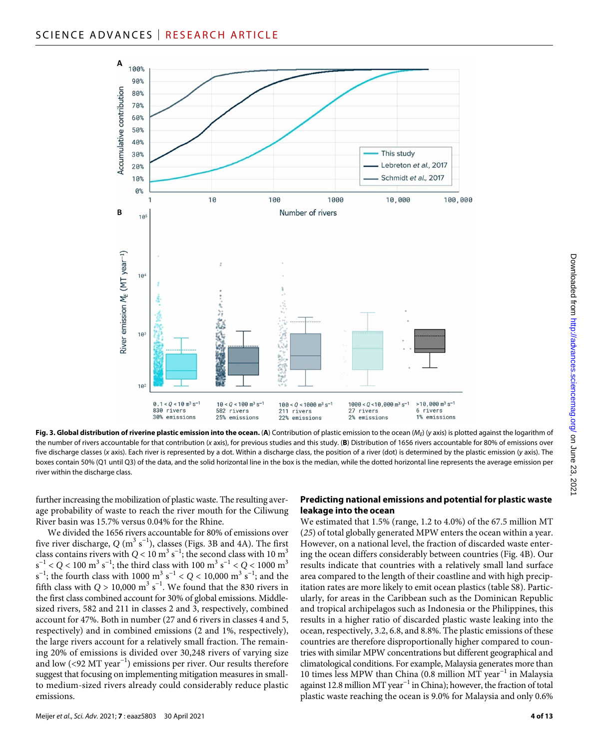

**Fig. 3. Global distribution of riverine plastic emission into the ocean. (A) Contribution of plastic emission to the ocean (***M<sub>F</sub>***) (***y* **axis) is plotted against the logarithm of** the number of rivers accountable for that contribution (*x* axis), for previous studies and this study. (**B**) Distribution of 1656 rivers accountable for 80% of emissions over five discharge classes (*x* axis). Each river is represented by a dot. Within a discharge class, the position of a river (dot) is determined by the plastic emission (*y* axis). The boxes contain 50% (Q1 until Q3) of the data, and the solid horizontal line in the box is the median, while the dotted horizontal line represents the average emission per river within the discharge class.

further increasing the mobilization of plastic waste. The resulting average probability of waste to reach the river mouth for the Ciliwung River basin was 15.7% versus 0.04% for the Rhine.

We divided the 1656 rivers accountable for 80% of emissions over five river discharge,  $Q(m^3 s^{-1})$ , classes (Figs. 3B and 4A). The first class contains rivers with *Q* < 10  $\text{m}^3$  s<sup>-1</sup>; the second class with 10  $\text{m}^3$  $\rm s^{-1}$  < *Q* < 100  $\rm m^3$   $\rm s^{-1}$ ; the third class with 100  $\rm m^3$   $\rm s^{-1}$  < *Q* < 1000  $\rm m^3$  $s^{-1}$ ; the fourth class with 1000 m<sup>3</sup>  $s^{-1}$  < *Q* < 10,000 m<sup>3</sup>  $s^{-1}$ ; and the fifth class with  $Q > 10,000 \text{ m}^3 \text{ s}^{-1}$ . We found that the 830 rivers in the first class combined account for 30% of global emissions. Middlesized rivers, 582 and 211 in classes 2 and 3, respectively, combined account for 47%. Both in number (27 and 6 rivers in classes 4 and 5, respectively) and in combined emissions (2 and 1%, respectively), the large rivers account for a relatively small fraction. The remaining 20% of emissions is divided over 30,248 rivers of varying size and low (<92 MT year<sup>-1</sup>) emissions per river. Our results therefore suggest that focusing on implementing mitigation measures in smallto medium-sized rivers already could considerably reduce plastic emissions.

# **Predicting national emissions and potential for plastic waste leakage into the ocean**

We estimated that 1.5% (range, 1.2 to 4.0%) of the 67.5 million MT (*25*) of total globally generated MPW enters the ocean within a year. However, on a national level, the fraction of discarded waste entering the ocean differs considerably between countries (Fig. 4B). Our results indicate that countries with a relatively small land surface area compared to the length of their coastline and with high precipitation rates are more likely to emit ocean plastics (table S8). Particularly, for areas in the Caribbean such as the Dominican Republic and tropical archipelagos such as Indonesia or the Philippines, this results in a higher ratio of discarded plastic waste leaking into the ocean, respectively, 3.2, 6.8, and 8.8%. The plastic emissions of these countries are therefore disproportionally higher compared to countries with similar MPW concentrations but different geographical and climatological conditions. For example, Malaysia generates more than 10 times less MPW than China (0.8 million MT year−1 in Malaysia against 12.8 million MT year−1 in China); however, the fraction of total plastic waste reaching the ocean is 9.0% for Malaysia and only 0.6%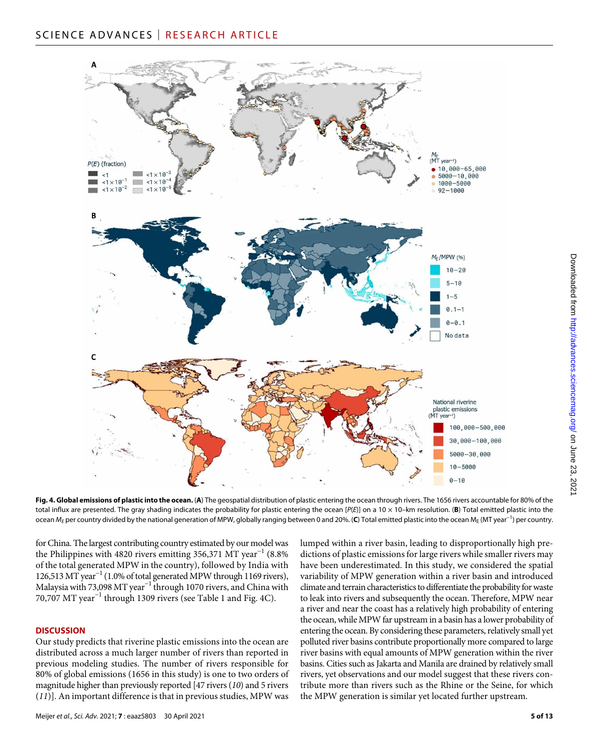

**Fig. 4. Global emissions of plastic into the ocean.** (**A**) The geospatial distribution of plastic entering the ocean through rivers. The 1656 rivers accountable for 80% of the total influx are presented. The gray shading indicates the probability for plastic entering the ocean [*P*(*E*)] on a 10 × 10–km resolution. (**B**) Total emitted plastic into the ocean *ME* per country divided by the national generation of MPW, globally ranging between 0 and 20%. (**C**) Total emitted plastic into the ocean ME (MT year−1) per country.

for China. The largest contributing country estimated by our model was the Philippines with 4820 rivers emitting 356,371 MT year<sup>-1</sup> (8.8% of the total generated MPW in the country), followed by India with 126,513 MT year−1 (1.0% of total generated MPW through 1169 rivers), Malaysia with 73,098 MT year<sup>-1</sup> through 1070 rivers, and China with 70,707 MT year−1 through 1309 rivers (see Table 1 and Fig. 4C).

#### **DISCUSSION**

Our study predicts that riverine plastic emissions into the ocean are distributed across a much larger number of rivers than reported in previous modeling studies. The number of rivers responsible for 80% of global emissions (1656 in this study) is one to two orders of magnitude higher than previously reported [47 rivers (*10*) and 5 rivers (*11*)]. An important difference is that in previous studies, MPW was

lumped within a river basin, leading to disproportionally high predictions of plastic emissions for large rivers while smaller rivers may have been underestimated. In this study, we considered the spatial variability of MPW generation within a river basin and introduced climate and terrain characteristics to differentiate the probability for waste to leak into rivers and subsequently the ocean. Therefore, MPW near a river and near the coast has a relatively high probability of entering the ocean, while MPW far upstream in a basin has a lower probability of entering the ocean. By considering these parameters, relatively small yet polluted river basins contribute proportionally more compared to large river basins with equal amounts of MPW generation within the river basins. Cities such as Jakarta and Manila are drained by relatively small rivers, yet observations and our model suggest that these rivers contribute more than rivers such as the Rhine or the Seine, for which the MPW generation is similar yet located further upstream.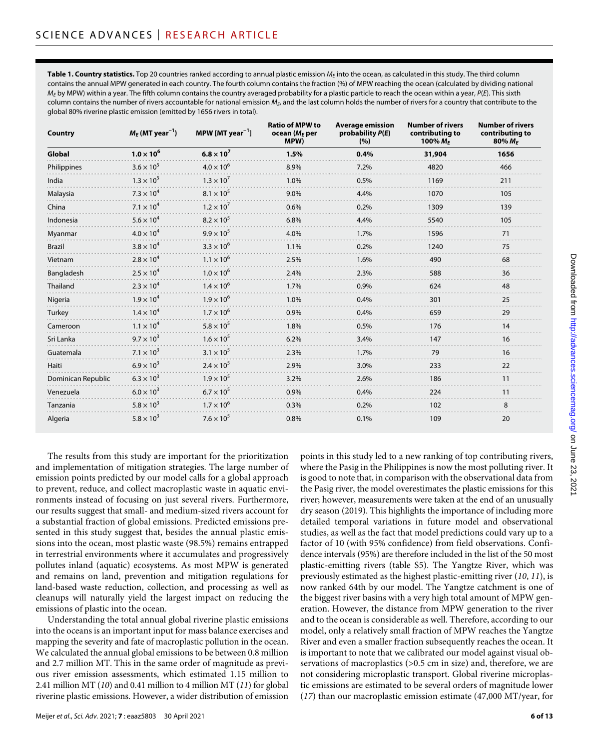Table 1. Country statistics. Top 20 countries ranked according to annual plastic emission  $M_E$  into the ocean, as calculated in this study. The third column contains the annual MPW generated in each country. The fourth column contains the fraction (%) of MPW reaching the ocean (calculated by dividing national *ME* by MPW) within a year. The fifth column contains the country averaged probability for a plastic particle to reach the ocean within a year, *P*(*E*). This sixth column contains the number of rivers accountable for national emission  $M_F$ , and the last column holds the number of rivers for a country that contribute to the global 80% riverine plastic emission (emitted by 1656 rivers in total).

| Country            | $M_E$ (MT year <sup>-1</sup> ) | MPW $[MT year^{-1}]$ | <b>Ratio of MPW to</b><br>ocean ( $M_E$ per<br>MPW) | <b>Average emission</b><br>probability P(E)<br>(%) | <b>Number of rivers</b><br>contributing to<br>100% $M_F$ | <b>Number of rivers</b><br>contributing to<br>$80\%$ $M_F$ |
|--------------------|--------------------------------|----------------------|-----------------------------------------------------|----------------------------------------------------|----------------------------------------------------------|------------------------------------------------------------|
| Global             | $1.0 \times 10^6$              | $6.8 \times 10^7$    | 1.5%                                                | 0.4%                                               | 31,904                                                   | 1656                                                       |
| Philippines        | $3.6 \times 10^{5}$            | $4.0 \times 10^{6}$  | 8.9%                                                | 7.2%                                               | 4820                                                     | 466                                                        |
| India              | $1.3 \times 10^{5}$            | $1.3 \times 10^{7}$  | 1.0%                                                | 0.5%                                               | 1169                                                     | 211                                                        |
| Malaysia           | $7.3 \times 10^{4}$            | $8.1\times10^5$      | 9.0%                                                | 4.4%                                               | 1070                                                     | 105                                                        |
| China              | $7.1 \times 10^{4}$            | $1.2 \times 10^{7}$  | 0.6%                                                | 0.2%                                               | 1309                                                     | 139                                                        |
| Indonesia          | $5.6 \times 10^{4}$            | $8.2 \times 10^{5}$  | 6.8%                                                | 4.4%                                               | 5540                                                     | 105                                                        |
| Myanmar            | $4.0\times10^4$                | $9.9 \times 10^{5}$  | 4.0%                                                | 1.7%                                               | 1596                                                     | 71<br>.                                                    |
| <b>Brazil</b>      | $3.8 \times 10^{4}$            | $3.3 \times 10^{6}$  | 1.1%                                                | 0.2%                                               | 1240                                                     | 75                                                         |
| Vietnam            | $2.8 \times 10^{4}$            | $1.1 \times 10^{6}$  | 2.5%                                                | 1.6%                                               | 490                                                      | 68                                                         |
| Bangladesh         | $2.5 \times 10^{4}$            | $1.0 \times 10^{6}$  | 2.4%                                                | 2.3%                                               | 588                                                      | 36                                                         |
| Thailand           | $2.3 \times 10^{4}$            | $1.4 \times 10^{6}$  | 1.7%                                                | 0.9%                                               | 624                                                      | 48                                                         |
| Nigeria            | $1.9 \times 10^{4}$            | $1.9 \times 10^{6}$  | 1.0%                                                | 0.4%                                               | 301                                                      | 25                                                         |
| Turkey             | $1.4 \times 10^{4}$            | $1.7 \times 10^{6}$  | 0.9%                                                | 0.4%                                               | 659                                                      | 29                                                         |
| Cameroon           | $1.1 \times 10^{4}$            | $5.8 \times 10^{5}$  | 1.8%                                                | 0.5%                                               | 176                                                      | 14                                                         |
| Sri Lanka<br>.     | $9.7 \times 10^{3}$            | $1.6 \times 10^{5}$  | 6.2%                                                | 3.4%                                               | 147                                                      | 16                                                         |
| Guatemala          | $7.1 \times 10^{3}$            | $3.1 \times 10^{5}$  | 2.3%                                                | 1.7%                                               | 79                                                       | 16                                                         |
| Haiti              | $6.9 \times 10^{3}$            | $2.4 \times 10^{5}$  | 2.9%                                                | 3.0%                                               | 233                                                      | 22                                                         |
| Dominican Republic | $6.3 \times 10^{3}$            | $1.9 \times 10^{5}$  | 3.2%                                                | 2.6%                                               | 186                                                      | 11                                                         |
| Venezuela          | $6.0 \times 10^{3}$            | $6.7 \times 10^{5}$  | 0.9%                                                | 0.4%                                               | 224                                                      | 11                                                         |
| Tanzania           | $5.8 \times 10^{3}$            | $1.7 \times 10^{6}$  | 0.3%                                                | 0.2%                                               | 102                                                      | 8<br>.                                                     |
| Algeria            | $5.8 \times 10^{3}$            | $7.6 \times 10^{5}$  | 0.8%                                                | 0.1%                                               | 109                                                      | 20                                                         |

The results from this study are important for the prioritization and implementation of mitigation strategies. The large number of emission points predicted by our model calls for a global approach to prevent, reduce, and collect macroplastic waste in aquatic environments instead of focusing on just several rivers. Furthermore, our results suggest that small- and medium-sized rivers account for a substantial fraction of global emissions. Predicted emissions presented in this study suggest that, besides the annual plastic emissions into the ocean, most plastic waste (98.5%) remains entrapped in terrestrial environments where it accumulates and progressively pollutes inland (aquatic) ecosystems. As most MPW is generated and remains on land, prevention and mitigation regulations for land-based waste reduction, collection, and processing as well as cleanups will naturally yield the largest impact on reducing the emissions of plastic into the ocean.

Understanding the total annual global riverine plastic emissions into the oceans is an important input for mass balance exercises and mapping the severity and fate of macroplastic pollution in the ocean. We calculated the annual global emissions to be between 0.8 million and 2.7 million MT. This in the same order of magnitude as previous river emission assessments, which estimated 1.15 million to 2.41 million MT (*10*) and 0.41 million to 4 million MT (*11*) for global riverine plastic emissions. However, a wider distribution of emission

Meijer *et al*., *Sci. Adv.* 2021; **7** : eaaz5803 30 April 2021

points in this study led to a new ranking of top contributing rivers, where the Pasig in the Philippines is now the most polluting river. It is good to note that, in comparison with the observational data from the Pasig river, the model overestimates the plastic emissions for this river; however, measurements were taken at the end of an unusually dry season (2019). This highlights the importance of including more detailed temporal variations in future model and observational studies, as well as the fact that model predictions could vary up to a factor of 10 (with 95% confidence) from field observations. Confidence intervals (95%) are therefore included in the list of the 50 most plastic-emitting rivers (table S5). The Yangtze River, which was previously estimated as the highest plastic-emitting river (*10*, *11*), is now ranked 64th by our model. The Yangtze catchment is one of the biggest river basins with a very high total amount of MPW generation. However, the distance from MPW generation to the river and to the ocean is considerable as well. Therefore, according to our model, only a relatively small fraction of MPW reaches the Yangtze River and even a smaller fraction subsequently reaches the ocean. It is important to note that we calibrated our model against visual observations of macroplastics (>0.5 cm in size) and, therefore, we are not considering microplastic transport. Global riverine microplastic emissions are estimated to be several orders of magnitude lower (*17*) than our macroplastic emission estimate (47,000 MT/year, for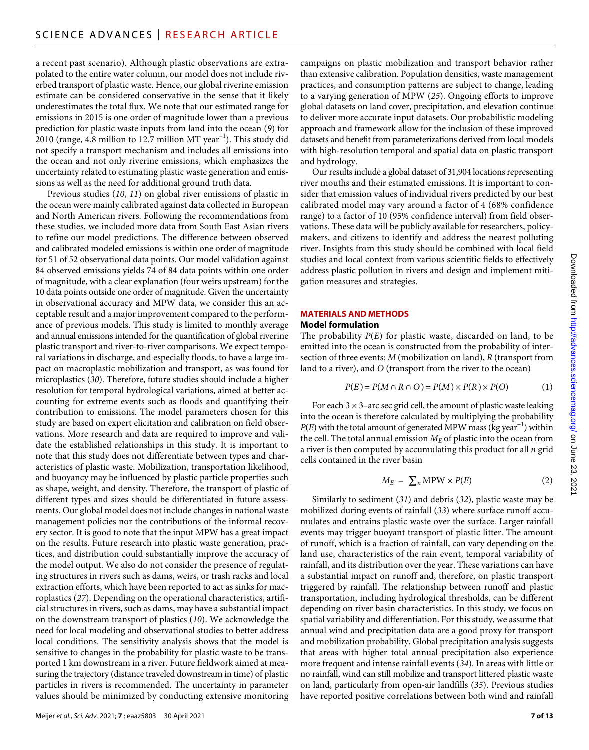a recent past scenario). Although plastic observations are extrapolated to the entire water column, our model does not include riverbed transport of plastic waste. Hence, our global riverine emission estimate can be considered conservative in the sense that it likely underestimates the total flux. We note that our estimated range for emissions in 2015 is one order of magnitude lower than a previous prediction for plastic waste inputs from land into the ocean (*9*) for 2010 (range, 4.8 million to 12.7 million MT year<sup>-1</sup>). This study did not specify a transport mechanism and includes all emissions into the ocean and not only riverine emissions, which emphasizes the uncertainty related to estimating plastic waste generation and emissions as well as the need for additional ground truth data.

Previous studies (*10*, *11*) on global river emissions of plastic in the ocean were mainly calibrated against data collected in European and North American rivers. Following the recommendations from these studies, we included more data from South East Asian rivers to refine our model predictions. The difference between observed and calibrated modeled emissions is within one order of magnitude for 51 of 52 observational data points. Our model validation against 84 observed emissions yields 74 of 84 data points within one order of magnitude, with a clear explanation (four weirs upstream) for the 10 data points outside one order of magnitude. Given the uncertainty in observational accuracy and MPW data, we consider this an acceptable result and a major improvement compared to the performance of previous models. This study is limited to monthly average and annual emissions intended for the quantification of global riverine plastic transport and river-to-river comparisons. We expect temporal variations in discharge, and especially floods, to have a large impact on macroplastic mobilization and transport, as was found for microplastics (*30*). Therefore, future studies should include a higher resolution for temporal hydrological variations, aimed at better accounting for extreme events such as floods and quantifying their contribution to emissions. The model parameters chosen for this study are based on expert elicitation and calibration on field observations. More research and data are required to improve and validate the established relationships in this study. It is important to note that this study does not differentiate between types and characteristics of plastic waste. Mobilization, transportation likelihood, and buoyancy may be influenced by plastic particle properties such as shape, weight, and density. Therefore, the transport of plastic of different types and sizes should be differentiated in future assessments. Our global model does not include changes in national waste management policies nor the contributions of the informal recovery sector. It is good to note that the input MPW has a great impact on the results. Future research into plastic waste generation, practices, and distribution could substantially improve the accuracy of the model output. We also do not consider the presence of regulating structures in rivers such as dams, weirs, or trash racks and local extraction efforts, which have been reported to act as sinks for macroplastics (*27*). Depending on the operational characteristics, artificial structures in rivers, such as dams, may have a substantial impact on the downstream transport of plastics (*10*). We acknowledge the need for local modeling and observational studies to better address local conditions. The sensitivity analysis shows that the model is sensitive to changes in the probability for plastic waste to be transported 1 km downstream in a river. Future fieldwork aimed at measuring the trajectory (distance traveled downstream in time) of plastic particles in rivers is recommended. The uncertainty in parameter values should be minimized by conducting extensive monitoring

campaigns on plastic mobilization and transport behavior rather than extensive calibration. Population densities, waste management practices, and consumption patterns are subject to change, leading to a varying generation of MPW (*25*). Ongoing efforts to improve global datasets on land cover, precipitation, and elevation continue to deliver more accurate input datasets. Our probabilistic modeling approach and framework allow for the inclusion of these improved datasets and benefit from parameterizations derived from local models with high-resolution temporal and spatial data on plastic transport and hydrology.

Our results include a global dataset of 31,904 locations representing river mouths and their estimated emissions. It is important to consider that emission values of individual rivers predicted by our best calibrated model may vary around a factor of 4 (68% confidence range) to a factor of 10 (95% confidence interval) from field observations. These data will be publicly available for researchers, policymakers, and citizens to identify and address the nearest polluting river. Insights from this study should be combined with local field studies and local context from various scientific fields to effectively address plastic pollution in rivers and design and implement mitigation measures and strategies.

#### **MATERIALS AND METHODS Model formulation**

The probability *P*(*E*) for plastic waste, discarded on land, to be emitted into the ocean is constructed from the probability of intersection of three events: *M* (mobilization on land), *R* (transport from land to a river), and *O* (transport from the river to the ocean)

$$
P(E) = P(M \cap R \cap O) = P(M) \times P(R) \times P(O)
$$
 (1)

For each  $3 \times 3$ –arc sec grid cell, the amount of plastic waste leaking into the ocean is therefore calculated by multiplying the probability  $P(E)$  with the total amount of generated MPW mass (kg year<sup>-1</sup>) within the cell. The total annual emission  $M_E$  of plastic into the ocean from a river is then computed by accumulating this product for all *n* grid cells contained in the river basin

$$
M_E = \sum_n \text{MPW} \times P(E) \tag{2}
$$

Similarly to sediment (*31*) and debris (*32*), plastic waste may be mobilized during events of rainfall (*33*) where surface runoff accumulates and entrains plastic waste over the surface. Larger rainfall events may trigger buoyant transport of plastic litter. The amount of runoff, which is a fraction of rainfall, can vary depending on the land use, characteristics of the rain event, temporal variability of rainfall, and its distribution over the year. These variations can have a substantial impact on runoff and, therefore, on plastic transport triggered by rainfall. The relationship between runoff and plastic transportation, including hydrological thresholds, can be different depending on river basin characteristics. In this study, we focus on spatial variability and differentiation. For this study, we assume that annual wind and precipitation data are a good proxy for transport and mobilization probability. Global precipitation analysis suggests that areas with higher total annual precipitation also experience more frequent and intense rainfall events (*34*). In areas with little or no rainfall, wind can still mobilize and transport littered plastic waste on land, particularly from open-air landfills (*35*). Previous studies have reported positive correlations between both wind and rainfall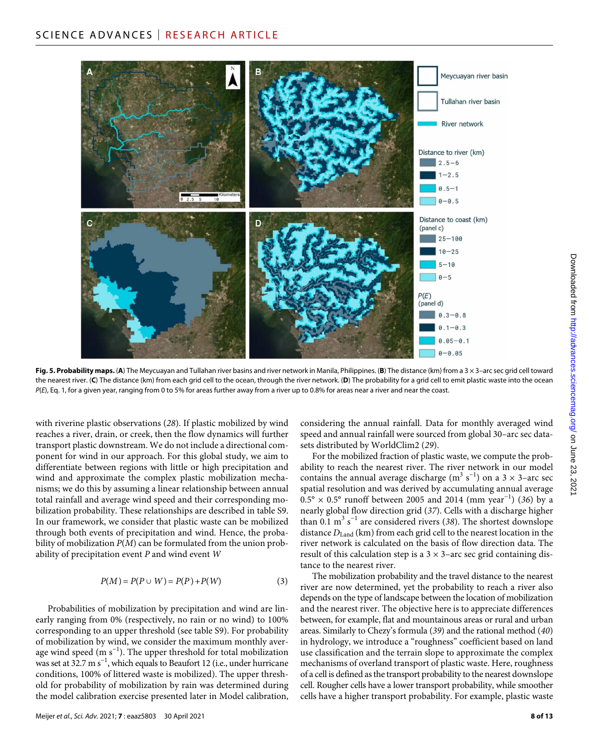

**Fig. 5. Probability maps.** (**A**) The Meycuayan and Tullahan river basins and river network in Manila, Philippines. (**B**) The distance (km) from a 3 × 3–arc sec grid cell toward the nearest river. (**C**) The distance (km) from each grid cell to the ocean, through the river network. (**D**) The probability for a grid cell to emit plastic waste into the ocean *P*(*E*), Eq. 1, for a given year, ranging from 0 to 5% for areas further away from a river up to 0.8% for areas near a river and near the coast.

with riverine plastic observations (*28*). If plastic mobilized by wind reaches a river, drain, or creek, then the flow dynamics will further transport plastic downstream. We do not include a directional component for wind in our approach. For this global study, we aim to differentiate between regions with little or high precipitation and wind and approximate the complex plastic mobilization mechanisms; we do this by assuming a linear relationship between annual total rainfall and average wind speed and their corresponding mobilization probability. These relationships are described in table S9. In our framework, we consider that plastic waste can be mobilized through both events of precipitation and wind. Hence, the probability of mobilization *P*(*M*) can be formulated from the union probability of precipitation event *P* and wind event *W*

$$
P(M) = P(P \cup W) = P(P) + P(W)
$$
\n(3)

Probabilities of mobilization by precipitation and wind are linearly ranging from 0% (respectively, no rain or no wind) to 100% corresponding to an upper threshold (see table S9). For probability of mobilization by wind, we consider the maximum monthly average wind speed  $(m s<sup>-1</sup>)$ . The upper threshold for total mobilization was set at  $32.7 \text{ m s}^{-1}$ , which equals to Beaufort 12 (i.e., under hurricane conditions, 100% of littered waste is mobilized). The upper threshold for probability of mobilization by rain was determined during the model calibration exercise presented later in Model calibration,

considering the annual rainfall. Data for monthly averaged wind speed and annual rainfall were sourced from global 30–arc sec datasets distributed by WorldClim2 (*29*).

For the mobilized fraction of plastic waste, we compute the probability to reach the nearest river. The river network in our model contains the annual average discharge  $(m^3 s^{-1})$  on a 3 × 3–arc sec spatial resolution and was derived by accumulating annual average 0.5° × 0.5° runoff between 2005 and 2014 (mm year−1) (*36*) by a nearly global flow direction grid (*37*). Cells with a discharge higher than  $0.1 \text{ m}^3 \text{ s}^{-1}$  are considered rivers (38). The shortest downslope distance  $D_{\text{Land}}$  (km) from each grid cell to the nearest location in the river network is calculated on the basis of flow direction data. The result of this calculation step is a  $3 \times 3$ -arc sec grid containing distance to the nearest river.

The mobilization probability and the travel distance to the nearest river are now determined, yet the probability to reach a river also depends on the type of landscape between the location of mobilization and the nearest river. The objective here is to appreciate differences between, for example, flat and mountainous areas or rural and urban areas. Similarly to Chezy's formula (*39*) and the rational method (*40*) in hydrology, we introduce a "roughness" coefficient based on land use classification and the terrain slope to approximate the complex mechanisms of overland transport of plastic waste. Here, roughness of a cell is defined as the transport probability to the nearest downslope cell. Rougher cells have a lower transport probability, while smoother cells have a higher transport probability. For example, plastic waste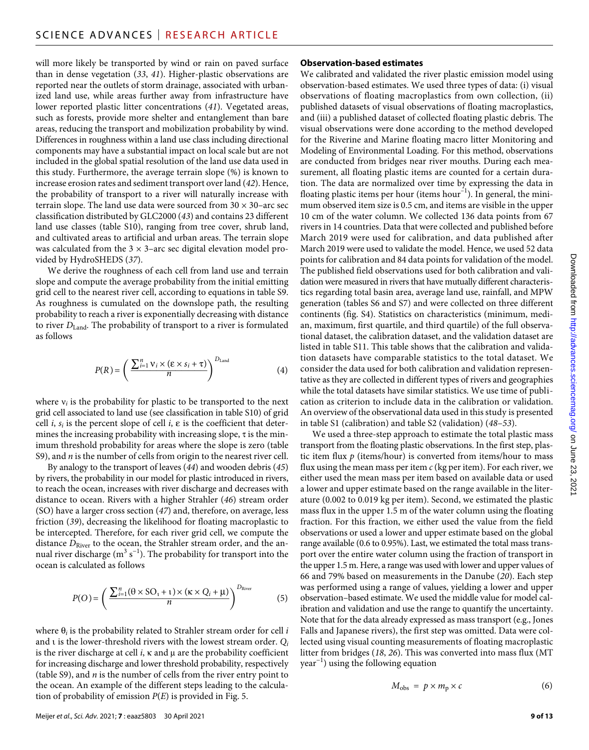will more likely be transported by wind or rain on paved surface than in dense vegetation (*33*, *41*). Higher-plastic observations are reported near the outlets of storm drainage, associated with urbanized land use, while areas further away from infrastructure have lower reported plastic litter concentrations (*41*). Vegetated areas, such as forests, provide more shelter and entanglement than bare areas, reducing the transport and mobilization probability by wind. Differences in roughness within a land use class including directional components may have a substantial impact on local scale but are not included in the global spatial resolution of the land use data used in this study. Furthermore, the average terrain slope (%) is known to increase erosion rates and sediment transport over land (*42*). Hence, the probability of transport to a river will naturally increase with terrain slope. The land use data were sourced from  $30 \times 30$ –arc sec classification distributed by GLC2000 (*43*) and contains 23 different land use classes (table S10), ranging from tree cover, shrub land, and cultivated areas to artificial and urban areas. The terrain slope was calculated from the  $3 \times 3$ -arc sec digital elevation model provided by HydroSHEDS (*37*).

We derive the roughness of each cell from land use and terrain slope and compute the average probability from the initial emitting grid cell to the nearest river cell, according to equations in table S9. As roughness is cumulated on the downslope path, the resulting probability to reach a river is exponentially decreasing with distance to river  $D_{Land}$ . The probability of transport to a river is formulated as follows

$$
P(R) = \left(\frac{\sum_{i=1}^{n} \mathbf{V}_i \times (\mathbf{E} \times s_i + \tau)}{n}\right)^{D_{\text{Land}}}
$$
(4)

where  $v_i$  is the probability for plastic to be transported to the next grid cell associated to land use (see classification in table S10) of grid cell *i*,  $s_i$  is the percent slope of cell *i*,  $\varepsilon$  is the coefficient that determines the increasing probability with increasing slope,  $\tau$  is the minimum threshold probability for areas where the slope is zero (table S9), and *n* is the number of cells from origin to the nearest river cell.

By analogy to the transport of leaves (*44*) and wooden debris (*45*) by rivers, the probability in our model for plastic introduced in rivers, to reach the ocean, increases with river discharge and decreases with distance to ocean. Rivers with a higher Strahler (*46*) stream order (SO) have a larger cross section (*47*) and, therefore, on average, less friction (*39*), decreasing the likelihood for floating macroplastic to be intercepted. Therefore, for each river grid cell, we compute the distance  $D_{\text{River}}$  to the ocean, the Strahler stream order, and the annual river discharge (m<sup>3</sup> s<sup>−1</sup>). The probability for transport into the ocean is calculated as follows

$$
P(O) = \left(\frac{\sum_{i=1}^{n} (\theta \times SO_1 + 1) \times (\kappa \times Q_i + \mu)}{n}\right)^{D_{\text{River}}} \tag{5}
$$

where  $\theta_i$  is the probability related to Strahler stream order for cell *i* and is the lower-threshold rivers with the lowest stream order. *Qi* is the river discharge at cell  $i$ ,  $\kappa$  and  $\mu$  are the probability coefficient for increasing discharge and lower threshold probability, respectively (table S9), and *n* is the number of cells from the river entry point to the ocean. An example of the different steps leading to the calculation of probability of emission *P*(*E*) is provided in Fig. 5.

# **Observation-based estimates**

We calibrated and validated the river plastic emission model using observation-based estimates. We used three types of data: (i) visual observations of floating macroplastics from own collection, (ii) published datasets of visual observations of floating macroplastics, and (iii) a published dataset of collected floating plastic debris. The visual observations were done according to the method developed for the Riverine and Marine floating macro litter Monitoring and Modeling of Environmental Loading. For this method, observations are conducted from bridges near river mouths. During each measurement, all floating plastic items are counted for a certain duration. The data are normalized over time by expressing the data in floating plastic items per hour (items hour<sup>-1</sup>). In general, the minimum observed item size is 0.5 cm, and items are visible in the upper 10 cm of the water column. We collected 136 data points from 67 rivers in 14 countries. Data that were collected and published before March 2019 were used for calibration, and data published after March 2019 were used to validate the model. Hence, we used 52 data points for calibration and 84 data points for validation of the model. The published field observations used for both calibration and validation were measured in rivers that have mutually different characteristics regarding total basin area, average land use, rainfall, and MPW generation (tables S6 and S7) and were collected on three different continents (fig. S4). Statistics on characteristics (minimum, median, maximum, first quartile, and third quartile) of the full observational dataset, the calibration dataset, and the validation dataset are listed in table S11. This table shows that the calibration and validation datasets have comparable statistics to the total dataset. We consider the data used for both calibration and validation representative as they are collected in different types of rivers and geographies while the total datasets have similar statistics. We use time of publication as criterion to include data in the calibration or validation. An overview of the observational data used in this study is presented in table S1 (calibration) and table S2 (validation) (*48*–*53*).

We used a three-step approach to estimate the total plastic mass transport from the floating plastic observations. In the first step, plastic item flux  $p$  (items/hour) is converted from items/hour to mass flux using the mean mass per item *c* (kg per item). For each river, we either used the mean mass per item based on available data or used a lower and upper estimate based on the range available in the literature (0.002 to 0.019 kg per item). Second, we estimated the plastic mass flux in the upper 1.5 m of the water column using the floating fraction. For this fraction, we either used the value from the field observations or used a lower and upper estimate based on the global range available (0.6 to 0.95%). Last, we estimated the total mass transport over the entire water column using the fraction of transport in the upper 1.5 m. Here, a range was used with lower and upper values of 66 and 79% based on measurements in the Danube (*20*). Each step was performed using a range of values, yielding a lower and upper observation–based estimate. We used the middle value for model calibration and validation and use the range to quantify the uncertainty. Note that for the data already expressed as mass transport (e.g., Jones Falls and Japanese rivers), the first step was omitted. Data were collected using visual counting measurements of floating macroplastic litter from bridges (*18*, *26*). This was converted into mass flux (MT year−1) using the following equation

$$
M_{\rm obs} = p \times m_{\rm p} \times c \tag{6}
$$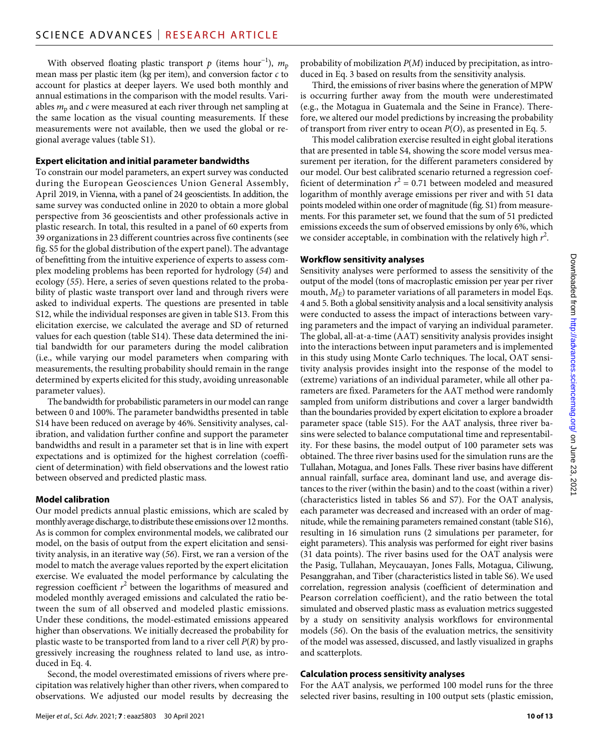With observed floating plastic transport *p* (items hour<sup>-1</sup>),  $m_p$ mean mass per plastic item (kg per item), and conversion factor *c* to account for plastics at deeper layers. We used both monthly and annual estimations in the comparison with the model results. Variables  $m_p$  and  $c$  were measured at each river through net sampling at the same location as the visual counting measurements. If these measurements were not available, then we used the global or regional average values (table S1).

## **Expert elicitation and initial parameter bandwidths**

To constrain our model parameters, an expert survey was conducted during the European Geosciences Union General Assembly, April 2019, in Vienna, with a panel of 24 geoscientists. In addition, the same survey was conducted online in 2020 to obtain a more global perspective from 36 geoscientists and other professionals active in plastic research. In total, this resulted in a panel of 60 experts from 39 organizations in 23 different countries across five continents (see fig. S5 for the global distribution of the expert panel). The advantage of benefitting from the intuitive experience of experts to assess complex modeling problems has been reported for hydrology (*54*) and ecology (*55*). Here, a series of seven questions related to the probability of plastic waste transport over land and through rivers were asked to individual experts. The questions are presented in table S12, while the individual responses are given in table S13. From this elicitation exercise, we calculated the average and SD of returned values for each question (table S14). These data determined the initial bandwidth for our parameters during the model calibration (i.e., while varying our model parameters when comparing with measurements, the resulting probability should remain in the range determined by experts elicited for this study, avoiding unreasonable parameter values).

The bandwidth for probabilistic parameters in our model can range between 0 and 100%. The parameter bandwidths presented in table S14 have been reduced on average by 46%. Sensitivity analyses, calibration, and validation further confine and support the parameter bandwidths and result in a parameter set that is in line with expert expectations and is optimized for the highest correlation (coefficient of determination) with field observations and the lowest ratio between observed and predicted plastic mass.

#### **Model calibration**

Our model predicts annual plastic emissions, which are scaled by monthly average discharge, to distribute these emissions over 12 months. As is common for complex environmental models, we calibrated our model, on the basis of output from the expert elicitation and sensitivity analysis, in an iterative way (*56*). First, we ran a version of the model to match the average values reported by the expert elicitation exercise. We evaluated the model performance by calculating the regression coefficient *r* 2 between the logarithms of measured and modeled monthly averaged emissions and calculated the ratio between the sum of all observed and modeled plastic emissions. Under these conditions, the model-estimated emissions appeared higher than observations. We initially decreased the probability for plastic waste to be transported from land to a river cell *P*(*R*) by progressively increasing the roughness related to land use, as introduced in Eq. 4.

Second, the model overestimated emissions of rivers where precipitation was relatively higher than other rivers, when compared to observations. We adjusted our model results by decreasing the probability of mobilization *P*(*M*) induced by precipitation, as introduced in Eq. 3 based on results from the sensitivity analysis.

Third, the emissions of river basins where the generation of MPW is occurring further away from the mouth were underestimated (e.g., the Motagua in Guatemala and the Seine in France). Therefore, we altered our model predictions by increasing the probability of transport from river entry to ocean *P*(*O*), as presented in Eq. 5.

This model calibration exercise resulted in eight global iterations that are presented in table S4, showing the score model versus measurement per iteration, for the different parameters considered by our model. Our best calibrated scenario returned a regression coefficient of determination  $r^2 = 0.71$  between modeled and measured logarithm of monthly average emissions per river and with 51 data points modeled within one order of magnitude (fig. S1) from measurements. For this parameter set, we found that the sum of 51 predicted emissions exceeds the sum of observed emissions by only 6%, which we consider acceptable, in combination with the relatively high  $r^2$ .

### **Workflow sensitivity analyses**

Sensitivity analyses were performed to assess the sensitivity of the output of the model (tons of macroplastic emission per year per river mouth,  $M_E$ ) to parameter variations of all parameters in model Eqs. 4 and 5. Both a global sensitivity analysis and a local sensitivity analysis were conducted to assess the impact of interactions between varying parameters and the impact of varying an individual parameter. The global, all-at-a-time (AAT) sensitivity analysis provides insight into the interactions between input parameters and is implemented in this study using Monte Carlo techniques. The local, OAT sensitivity analysis provides insight into the response of the model to (extreme) variations of an individual parameter, while all other parameters are fixed. Parameters for the AAT method were randomly sampled from uniform distributions and cover a larger bandwidth than the boundaries provided by expert elicitation to explore a broader parameter space (table S15). For the AAT analysis, three river basins were selected to balance computational time and representability. For these basins, the model output of 100 parameter sets was obtained. The three river basins used for the simulation runs are the Tullahan, Motagua, and Jones Falls. These river basins have different annual rainfall, surface area, dominant land use, and average distances to the river (within the basin) and to the coast (within a river) (characteristics listed in tables S6 and S7). For the OAT analysis, each parameter was decreased and increased with an order of magnitude, while the remaining parameters remained constant (table S16), resulting in 16 simulation runs (2 simulations per parameter, for eight parameters). This analysis was performed for eight river basins (31 data points). The river basins used for the OAT analysis were the Pasig, Tullahan, Meycauayan, Jones Falls, Motagua, Ciliwung, Pesanggrahan, and Tiber (characteristics listed in table S6). We used correlation, regression analysis (coefficient of determination and Pearson correlation coefficient), and the ratio between the total simulated and observed plastic mass as evaluation metrics suggested by a study on sensitivity analysis workflows for environmental models (*56*). On the basis of the evaluation metrics, the sensitivity of the model was assessed, discussed, and lastly visualized in graphs and scatterplots.

#### **Calculation process sensitivity analyses**

For the AAT analysis, we performed 100 model runs for the three selected river basins, resulting in 100 output sets (plastic emission,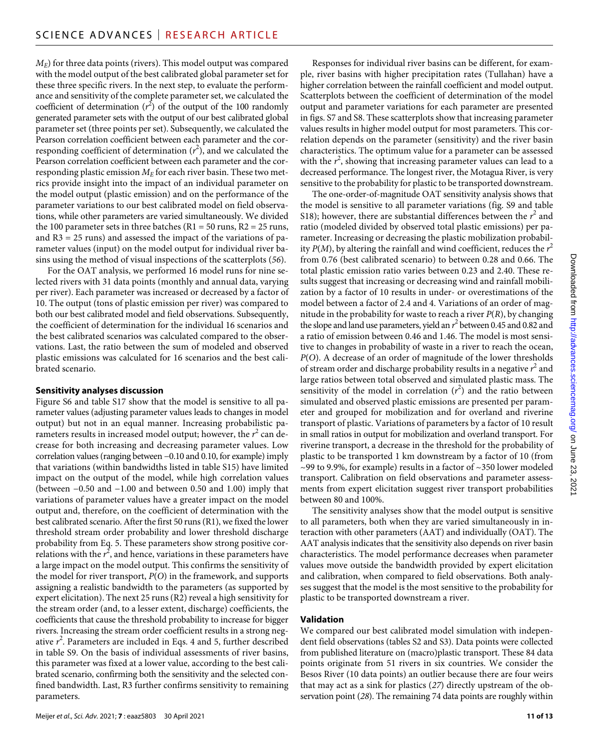*ME*) for three data points (rivers). This model output was compared with the model output of the best calibrated global parameter set for these three specific rivers. In the next step, to evaluate the performance and sensitivity of the complete parameter set, we calculated the coefficient of determination  $(r^2)$  of the output of the 100 randomly generated parameter sets with the output of our best calibrated global parameter set (three points per set). Subsequently, we calculated the Pearson correlation coefficient between each parameter and the corresponding coefficient of determination  $(r^2)$ , and we calculated the Pearson correlation coefficient between each parameter and the corresponding plastic emission  $M_E$  for each river basin. These two metrics provide insight into the impact of an individual parameter on the model output (plastic emission) and on the performance of the parameter variations to our best calibrated model on field observations, while other parameters are varied simultaneously. We divided the 100 parameter sets in three batches ( $R1 = 50$  runs,  $R2 = 25$  runs, and  $R3 = 25$  runs) and assessed the impact of the variations of parameter values (input) on the model output for individual river basins using the method of visual inspections of the scatterplots (*56*).

For the OAT analysis, we performed 16 model runs for nine selected rivers with 31 data points (monthly and annual data, varying per river). Each parameter was increased or decreased by a factor of 10. The output (tons of plastic emission per river) was compared to both our best calibrated model and field observations. Subsequently, the coefficient of determination for the individual 16 scenarios and the best calibrated scenarios was calculated compared to the observations. Last, the ratio between the sum of modeled and observed plastic emissions was calculated for 16 scenarios and the best calibrated scenario.

# **Sensitivity analyses discussion**

Figure S6 and table S17 show that the model is sensitive to all parameter values (adjusting parameter values leads to changes in model output) but not in an equal manner. Increasing probabilistic parameters results in increased model output; however, the  $r^2$  can decrease for both increasing and decreasing parameter values. Low correlation values (ranging between −0.10 and 0.10, for example) imply that variations (within bandwidths listed in table S15) have limited impact on the output of the model, while high correlation values (between −0.50 and −1.00 and between 0.50 and 1.00) imply that variations of parameter values have a greater impact on the model output and, therefore, on the coefficient of determination with the best calibrated scenario. After the first 50 runs (R1), we fixed the lower threshold stream order probability and lower threshold discharge probability from Eq. 5. These parameters show strong positive correlations with the  $r^2$ , and hence, variations in these parameters have a large impact on the model output. This confirms the sensitivity of the model for river transport, *P*(*O*) in the framework, and supports assigning a realistic bandwidth to the parameters (as supported by expert elicitation). The next 25 runs (R2) reveal a high sensitivity for the stream order (and, to a lesser extent, discharge) coefficients, the coefficients that cause the threshold probability to increase for bigger rivers. Increasing the stream order coefficient results in a strong negative  $r^2$ . Parameters are included in Eqs. 4 and 5, further described in table S9. On the basis of individual assessments of river basins, this parameter was fixed at a lower value, according to the best calibrated scenario, confirming both the sensitivity and the selected confined bandwidth. Last, R3 further confirms sensitivity to remaining parameters.

Responses for individual river basins can be different, for example, river basins with higher precipitation rates (Tullahan) have a higher correlation between the rainfall coefficient and model output. Scatterplots between the coefficient of determination of the model output and parameter variations for each parameter are presented in figs. S7 and S8. These scatterplots show that increasing parameter values results in higher model output for most parameters. This correlation depends on the parameter (sensitivity) and the river basin characteristics. The optimum value for a parameter can be assessed with the  $r^2$ , showing that increasing parameter values can lead to a decreased performance. The longest river, the Motagua River, is very sensitive to the probability for plastic to be transported downstream.

The one-order-of-magnitude OAT sensitivity analysis shows that the model is sensitive to all parameter variations (fig. S9 and table S18); however, there are substantial differences between the  $r^2$  and ratio (modeled divided by observed total plastic emissions) per parameter. Increasing or decreasing the plastic mobilization probability  $P(M)$ , by altering the rainfall and wind coefficient, reduces the  $r^2$ from 0.76 (best calibrated scenario) to between 0.28 and 0.66. The total plastic emission ratio varies between 0.23 and 2.40. These results suggest that increasing or decreasing wind and rainfall mobilization by a factor of 10 results in under- or overestimations of the model between a factor of 2.4 and 4. Variations of an order of magnitude in the probability for waste to reach a river *P*(*R*), by changing the slope and land use parameters, yield an  $r^2$  between 0.45 and 0.82 and a ratio of emission between 0.46 and 1.46. The model is most sensitive to changes in probability of waste in a river to reach the ocean, *P*(*O*). A decrease of an order of magnitude of the lower thresholds of stream order and discharge probability results in a negative  $r^2$  and large ratios between total observed and simulated plastic mass. The sensitivity of the model in correlation  $(r^2)$  and the ratio between simulated and observed plastic emissions are presented per parameter and grouped for mobilization and for overland and riverine transport of plastic. Variations of parameters by a factor of 10 result in small ratios in output for mobilization and overland transport. For riverine transport, a decrease in the threshold for the probability of plastic to be transported 1 km downstream by a factor of 10 (from  $\sim$ 99 to 9.9%, for example) results in a factor of  $\sim$ 350 lower modeled transport. Calibration on field observations and parameter assessments from expert elicitation suggest river transport probabilities between 80 and 100%.

The sensitivity analyses show that the model output is sensitive to all parameters, both when they are varied simultaneously in interaction with other parameters (AAT) and individually (OAT). The AAT analysis indicates that the sensitivity also depends on river basin characteristics. The model performance decreases when parameter values move outside the bandwidth provided by expert elicitation and calibration, when compared to field observations. Both analyses suggest that the model is the most sensitive to the probability for plastic to be transported downstream a river.

# **Validation**

We compared our best calibrated model simulation with independent field observations (tables S2 and S3). Data points were collected from published literature on (macro)plastic transport. These 84 data points originate from 51 rivers in six countries. We consider the Besos River (10 data points) an outlier because there are four weirs that may act as a sink for plastics (*27*) directly upstream of the observation point (*28*). The remaining 74 data points are roughly within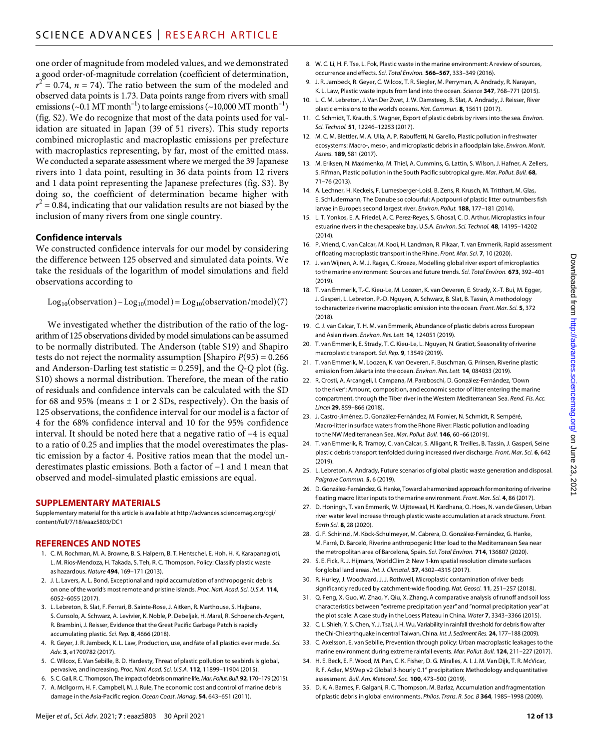one order of magnitude from modeled values, and we demonstrated a good order-of-magnitude correlation (coefficient of determination,  $r^2 = 0.74$ ,  $n = 74$ ). The ratio between the sum of the modeled and observed data points is 1.73. Data points range from rivers with small emissions (~0.1 MT month<sup>-1</sup>) to large emissions (~10,000 MT month<sup>-1</sup>) (fig. S2). We do recognize that most of the data points used for validation are situated in Japan (39 of 51 rivers). This study reports combined microplastic and macroplastic emissions per prefecture with macroplastics representing, by far, most of the emitted mass. We conducted a separate assessment where we merged the 39 Japanese rivers into 1 data point, resulting in 36 data points from 12 rivers and 1 data point representing the Japanese prefectures (fig. S3). By doing so, the coefficient of determination became higher with  $r^2$  = 0.84, indicating that our validation results are not biased by the inclusion of many rivers from one single country.

# **Confidence intervals**

We constructed confidence intervals for our model by considering the difference between 125 observed and simulated data points. We take the residuals of the logarithm of model simulations and field observations according to

 $Log_{10}$ (observation) –  $Log_{10}$ (model) =  $Log_{10}$ (observation/model)(7)

We investigated whether the distribution of the ratio of the logarithm of 125 observations divided by model simulations can be assumed to be normally distributed. The Anderson (table S19) and Shapiro tests do not reject the normality assumption [Shapiro  $P(95) = 0.266$ and Anderson-Darling test statistic = 0.259], and the *Q*-*Q* plot (fig. S10) shows a normal distribution. Therefore, the mean of the ratio of residuals and confidence intervals can be calculated with the SD for 68 and 95% (means  $\pm$  1 or 2 SDs, respectively). On the basis of 125 observations, the confidence interval for our model is a factor of 4 for the 68% confidence interval and 10 for the 95% confidence interval. It should be noted here that a negative ratio of −4 is equal to a ratio of 0.25 and implies that the model overestimates the plastic emission by a factor 4. Positive ratios mean that the model underestimates plastic emissions. Both a factor of −1 and 1 mean that observed and model-simulated plastic emissions are equal.

#### **SUPPLEMENTARY MATERIALS**

Supplementary material for this article is available at [http://advances.sciencemag.org/cgi/](http://advances.sciencemag.org/cgi/content/full/7/18/eaaz5803/DC1) [content/full/7/18/eaaz5803/DC1](http://advances.sciencemag.org/cgi/content/full/7/18/eaaz5803/DC1)

#### **REFERENCES AND NOTES**

- 1. C. M. Rochman, M. A. Browne, B. S. Halpern, B. T. Hentschel, E. Hoh, H. K. Karapanagioti, L. M. Rios-Mendoza, H. Takada, S. Teh, R. C. Thompson, Policy: Classify plastic waste as hazardous. *Nature* **494**, 169–171 (2013).
- 2. J. L. Lavers, A. L. Bond, Exceptional and rapid accumulation of anthropogenic debris on one of the world's most remote and pristine islands. *Proc. Natl. Acad. Sci. U.S.A.* **114**, 6052–6055 (2017).
- 3. L. Lebreton, B. Slat, F. Ferrari, B. Sainte-Rose, J. Aitken, R. Marthouse, S. Hajbane, S. Cunsolo, A. Schwarz, A. Levivier, K. Noble, P. Debeljak, H. Maral, R. Schoeneich-Argent, R. Brambini, J. Reisser, Evidence that the Great Pacific Garbage Patch is rapidly accumulating plastic. *Sci. Rep.* **8**, 4666 (2018).
- 4. R. Geyer, J. R. Jambeck, K. L. Law, Production, use, and fate of all plastics ever made. *Sci. Adv.* **3**, e1700782 (2017).
- 5. C. Wilcox, E. Van Sebille, B. D. Hardesty, Threat of plastic pollution to seabirds is global, pervasive, and increasing. *Proc. Natl. Acad. Sci. U.S.A.* **112**, 11899–11904 (2015).
- 6. S.C.Gall, R.C. Thompson, The impact ofdebris onmarine life. *Mar. Pollut. Bull.***92**, 170–179 (2015).
- 7. A. McIlgorm, H. F. Campbell, M. J. Rule, The economic cost and control of marine debris damage in the Asia-Pacific region. *Ocean Coast. Manag.* **54**, 643–651 (2011).
- 8. W. C. Li, H. F. Tse, L. Fok, Plastic waste in the marine environment: A review of sources, occurrence and effects. *Sci. Total Environ.* **566–567**, 333–349 (2016).
- 9. J. R. Jambeck, R. Geyer, C. Wilcox, T. R. Siegler, M. Perryman, A. Andrady, R. Narayan, K. L. Law, Plastic waste inputs from land into the ocean. *Science* **347**, 768–771 (2015).
- 10. L. C. M. Lebreton, J. VanDer Zwet, J. W. Damsteeg, B. Slat, A. Andrady, J. Reisser, River plastic emissions to the world's oceans. *Nat. Commun.* **8**, 15611 (2017).
- 11. C. Schmidt, T. Krauth, S. Wagner, Export of plastic debris by rivers into the sea. *Environ. Sci. Technol.* **51**, 12246–12253 (2017).
- 12. M. C. M. Blettler, M. A. Ulla, A. P. Rabuffetti, N. Garello, Plastic pollution in freshwater ecosystems: Macro-, meso-, and microplastic debris in a floodplain lake. *Environ. Monit. Assess.* **189**, 581 (2017).
- 13. M. Eriksen, N. Maximenko, M. Thiel, A. Cummins, G. Lattin, S. Wilson, J. Hafner, A. Zellers, S. Rifman, Plastic pollution in the South Pacific subtropical gyre. *Mar. Pollut. Bull.* **68**, 71–76 (2013).
- 14. A. Lechner, H. Keckeis, F. Lumesberger-Loisl, B. Zens, R. Krusch, M. Tritthart, M. Glas, E. Schludermann, The Danube so colourful: A potpourri of plastic litter outnumbers fish larvae in Europe's second largest river. *Environ. Pollut.* **188**, 177–181 (2014).
- 15. L. T. Yonkos, E. A. Friedel, A. C. Perez-Reyes, S. Ghosal, C. D. Arthur, Microplastics in four estuarine rivers in the chesapeake bay, U.S.A. *Environ. Sci. Technol.* **48**, 14195–14202 (2014).
- 16. P. Vriend, C. van Calcar, M. Kooi, H. Landman, R. Pikaar, T. van Emmerik, Rapid assessment of floating macroplastic transport in the Rhine. *Front. Mar. Sci.* **7**, 10 (2020).
- 17. J. van Wijnen, A. M. J. Ragas, C. Kroeze, Modelling global river export of microplastics to the marine environment: Sources and future trends. *Sci. Total Environ.* **673**, 392–401 (2019).
- 18. T. van Emmerik, T.-C. Kieu-Le, M. Loozen, K. van Oeveren, E. Strady, X.-T. Bui, M. Egger, J. Gasperi, L. Lebreton, P.-D. Nguyen, A. Schwarz, B. Slat, B. Tassin, A methodology to characterize riverine macroplastic emission into the ocean. *Front. Mar. Sci.* **5**, 372 (2018).
- 19. C. J. van Calcar, T. H. M. van Emmerik, Abundance of plastic debris across European and Asian rivers. *Environ. Res. Lett.* **14**, 124051 (2019).
- 20. T. van Emmerik, E. Strady, T. C. Kieu-Le, L. Nguyen, N. Gratiot, Seasonality of riverine macroplastic transport. *Sci. Rep.* **9**, 13549 (2019).
- 21. T. van Emmerik, M. Loozen, K. van Oeveren, F. Buschman, G. Prinsen, Riverine plastic emission from Jakarta into the ocean. *Environ. Res. Lett.* **14**, 084033 (2019).
- 22. R. Crosti, A. Arcangeli, I. Campana, M. Paraboschi, D. González-Fernández, 'Down to the river': Amount, composition, and economic sector of litter entering the marine compartment, through the Tiber river in the Western Mediterranean Sea. *Rend. Fis. Acc. Lincei* **29**, 859–866 (2018).
- 23. J. Castro-Jiménez, D. González-Fernández, M. Fornier, N. Schmidt, R. Sempéré, Macro-litter in surface waters from the Rhone River: Plastic pollution and loading to the NW Mediterranean Sea. *Mar. Pollut. Bull.* **146**, 60–66 (2019).
- 24. T. van Emmerik, R. Tramoy, C. van Calcar, S. Alligant, R. Treilles, B. Tassin, J. Gasperi, Seine plastic debris transport tenfolded during increased river discharge. *Front. Mar. Sci.* **6**, 642 (2019).
- 25. L. Lebreton, A. Andrady, Future scenarios of global plastic waste generation and disposal. *Palgrave Commun.* **5**, 6 (2019).
- 26. D. González-Fernández, G. Hanke, Toward aharmonized approach formonitoring of riverine floating macro litter inputs to the marine environment. *Front. Mar. Sci.* **4**, 86 (2017).
- 27. D. Honingh, T. van Emmerik, W. Uijttewaal, H. Kardhana, O. Hoes, N. van de Giesen, Urban river water level increase through plastic waste accumulation at a rack structure. *Front. Earth Sci.* **8**, 28 (2020).
- 28. G. F. Schirinzi, M. Köck-Schulmeyer, M. Cabrera, D. González-Fernández, G. Hanke, M. Farré, D. Barceló, Riverine anthropogenic litter load to the Mediterranean Sea near the metropolitan area of Barcelona, Spain. *Sci. Total Environ.* **714**, 136807 (2020).
- 29. S. E. Fick, R. J. Hijmans, WorldClim 2: New 1-km spatial resolution climate surfaces for global land areas. *Int. J. Climatol.* **37**, 4302–4315 (2017).
- 30. R. Hurley, J. Woodward, J. J. Rothwell, Microplastic contamination of river beds significantly reduced by catchment-wide flooding. *Nat. Geosci.* **11**, 251–257 (2018).
- 31. Q. Feng, X. Guo, W. Zhao, Y. Qiu, X. Zhang, A comparative analysis of runoff and soil loss characteristics between "extreme precipitation year" and "normal precipitation year" at the plot scale: A case study in the Loess Plateau in China. *Water* **7**, 3343–3366 (2015).
- 32. C. L. Shieh, Y. S. Chen, Y.J. Tsai, J. H. Wu, Variability inrainfall threshold fordebris flow after theChi-Chi earthquake incentral Taiwan, China. *Int. J. Sediment Res.* **24**, 177–188 (2009).
- 33. C. Axelsson, E. van Sebille, Prevention through policy: Urban macroplastic leakages to the marine environment during extreme rainfall events. *Mar. Pollut. Bull.* **124**, 211–227 (2017).
- 34. H. E. Beck, E. F. Wood, M. Pan, C. K. Fisher, D. G. Miralles, A. I. J. M. VanDijk, T. R. McVicar, R. F. Adler, MSWep v2 Global 3-hourly 0.1° precipitation: Methodology and quantitative assessment. *Bull. Am. Meteorol. Soc.* **100**, 473–500 (2019).
- 35. D. K. A. Barnes, F. Galgani, R. C. Thompson, M. Barlaz, Accumulation and fragmentation of plastic debris in global environments. *Philos. Trans. R. Soc. B* **364**, 1985–1998 (2009).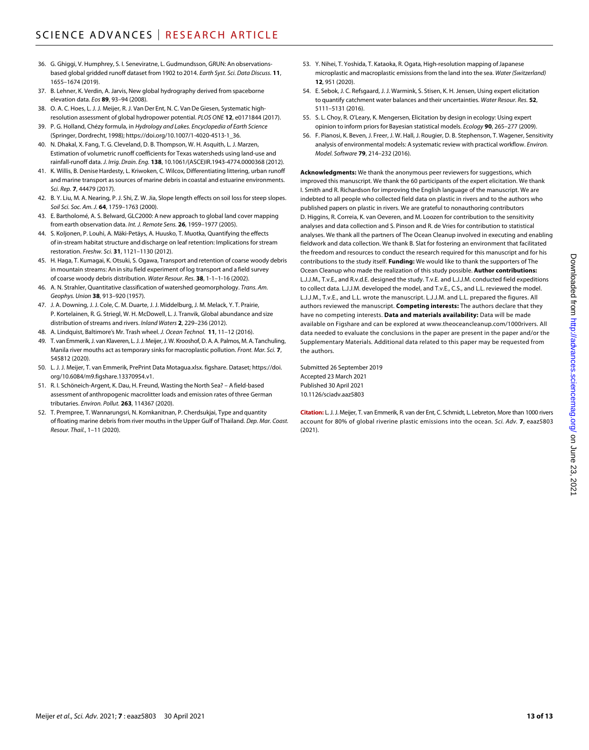- 36. G. Ghiggi, V. Humphrey, S. I. Seneviratne, L. Gudmundsson, GRUN: An observationsbased global gridded runoff dataset from 1902 to 2014. *Earth Syst. Sci. Data Discuss.* **11**, 1655–1674 (2019).
- 37. B. Lehner, K. Verdin, A. Jarvis, New global hydrography derived from spaceborne elevation data. *Eos* **89**, 93–94 (2008).
- 38. O. A. C. Hoes, L. J. J. Meijer, R. J. Van Der Ent, N. C. Van De Giesen, Systematic highresolution assessment of global hydropower potential. *PLOS ONE* **12**, e0171844 (2017).
- 39. P. G. Holland, Chézy formula, in *Hydrology and Lakes. Encyclopedia of Earth Science* (Springer, Dordrecht, 1998); [https://doi.org/10.1007/1-4020-4513-1\\_36.](https://doi.org/10.1007/1-4020-4513-1_36)
- 40. N. Dhakal, X. Fang, T. G. Cleveland, D. B. Thompson, W. H. Asquith, L. J. Marzen, Estimation of volumetric runoff coefficients for Texas watersheds using land-use and rainfall-runoff data. *J. Irrig. Drain. Eng.* **138**, 10.1061/(ASCE)IR.1943-4774.0000368 (2012).
- 41. K. Willis, B. Denise Hardesty, L. Kriwoken, C. Wilcox, Differentiating littering, urban runoff and marine transport as sources of marine debris in coastal and estuarine environments. *Sci. Rep.* **7**, 44479 (2017).
- 42. B. Y. Liu, M. A. Nearing, P. J. Shi, Z. W. Jia, Slope length effects on soil loss forsteep slopes. *Soil Sci. Soc. Am. J.* **64**, 1759–1763 (2000).
- 43. E. Bartholomé, A. S. Belward, GLC2000: A new approach to global land cover mapping from earth observation data. *Int. J. Remote Sens.* **26**, 1959–1977 (2005).
- 44. S. Koljonen, P. Louhi, A. Mäki-Petäys, A. Huusko, T. Muotka, Quantifying the effects of in-stream habitat structure and discharge on leaf retention: Implications forstream restoration. *Freshw. Sci.* **31**, 1121–1130 (2012).
- 45. H. Haga, T. Kumagai, K. Otsuki, S. Ogawa, Transport and retention of coarse woody debris in mountain streams: An in situ field experiment of log transport and a field survey of coarse woody debris distribution. *Water Resour. Res.* **38**, 1-1–1-16 (2002).
- 46. A. N. Strahler, Quantitative classification of watershed geomorphology. *Trans. Am. Geophys. Union* **38**, 913–920 (1957).
- 47. J. A. Downing, J. J. Cole, C. M. Duarte, J. J. Middelburg, J. M. Melack, Y. T. Prairie, P. Kortelainen, R. G. Striegl, W. H. McDowell, L. J. Tranvik, Global abundance and size distribution of streams and rivers. *Inland Waters* 2, 229-236 (2012).
- 48. A. Lindquist, Baltimore's Mr. Trash wheel. *J. Ocean Technol.* **11**, 11–12 (2016).
- 49. T. vanEmmerik, J. van Klaveren, L. J. J. Meijer, J. W. Krooshof, D. A. A. Palmos, M. A. Tanchuling, Manila river mouths act astemporary sinks for macroplastic pollution. *Front. Mar. Sci.* **7**, 545812 (2020).
- 50. L. J. J. Meijer, T. van Emmerik, PrePrint Data Motagua.xlsx. figshare. Dataset; [https://doi.](http://dx.doi.org/10.6084/m9.figshare.13370954.v1) [org/10.6084/m9.figshare.13370954.v1.](http://dx.doi.org/10.6084/m9.figshare.13370954.v1)
- 51. R. I. Schöneich-Argent, K. Dau, H. Freund, Wasting the North Sea? A field-based assessment of anthropogenic macrolitter loads and emission rates of three German tributaries. *Environ. Pollut.* **263**, 114367 (2020).
- 52. T. Prempree, T. Wannarungsri, N. Kornkanitnan, P. Cherdsukjai, Type and quantity of floating marine debris from river mouths in the Upper Gulf of Thailand. *Dep. Mar. Coast. Resour. Thail.*, 1–11 (2020).
- 53. Y. Nihei, T. Yoshida, T. Kataoka, R. Ogata, High-resolution mapping of Japanese microplastic and macroplastic emissions from the land into the sea. *Water (Switzerland)* **12**, 951 (2020).
- 54. E. Sebok, J. C. Refsgaard, J. J. Warmink, S. Stisen, K. H. Jensen, Using expert elicitation to quantify catchment water balances and their uncertainties. *Water Resour. Res.* **52**, 5111–5131 (2016).
- 55. S. L. Choy, R. O'Leary, K. Mengersen, Elicitation by design in ecology: Using expert opinion to inform priors for Bayesian statistical models. *Ecology* **90**, 265–277 (2009).
- 56. F. Pianosi, K. Beven, J. Freer, J. W. Hall, J. Rougier, D. B. Stephenson, T. Wagener, Sensitivity analysis of environmental models: A systematic review with practical workflow. *Environ. Model. Software* **79**, 214–232 (2016).

**Acknowledgments:** We thank the anonymous peer reviewers for suggestions, which improved this manuscript. We thank the 60 participants of the expert elicitation. We thank I. Smith and R. Richardson for improving the English language of the manuscript. We are indebted to all people who collected field data on plastic in rivers and to the authors who published papers on plastic in rivers. We are grateful to nonauthoring contributors D. Higgins, R. Correia, K. van Oeveren, and M. Loozen for contribution to the sensitivity analyses and data collection and S. Pinson and R. de Vries for contribution to statistical analyses. We thank all the partners of The Ocean Cleanup involved in executing and enabling fieldwork and data collection. We thank B. Slat for fostering an environment that facilitated the freedom and resources to conduct the research required for this manuscript and for his contributions to the study itself. **Funding:** We would like to thank the supporters of The Ocean Cleanup who made the realization of this study possible. **Author contributions:** L.J.J.M., T.v.E., and R.v.d.E. designed the study. T.v.E. and L.J.J.M. conducted field expeditions to collect data. L.J.J.M. developed the model, and T.v.E., C.S., and L.L. reviewed the model. L.J.J.M., T.v.E., and L.L. wrote the manuscript. L.J.J.M. and L.L. prepared the figures. All authors reviewed the manuscript. **Competing interests:** The authors declare that they have no competing interests. **Data and materials availability:** Data will be made available on Figshare and can be explored at <www.theoceancleanup.com/1000rivers>. All data needed to evaluate the conclusions in the paper are present in the paper and/or the Supplementary Materials. Additional data related to this paper may be requested from the authors.

Submitted 26 September 2019 Accepted 23 March 2021 Published 30 April 2021 10.1126/sciadv.aaz5803

**Citation:** L.J. J. Meijer, T. van Emmerik, R. van der Ent, C. Schmidt, L. Lebreton, More than 1000 rivers account for 80% of global riverine plastic emissions into the ocean. *Sci. Adv.* **7**, eaaz5803 (2021).